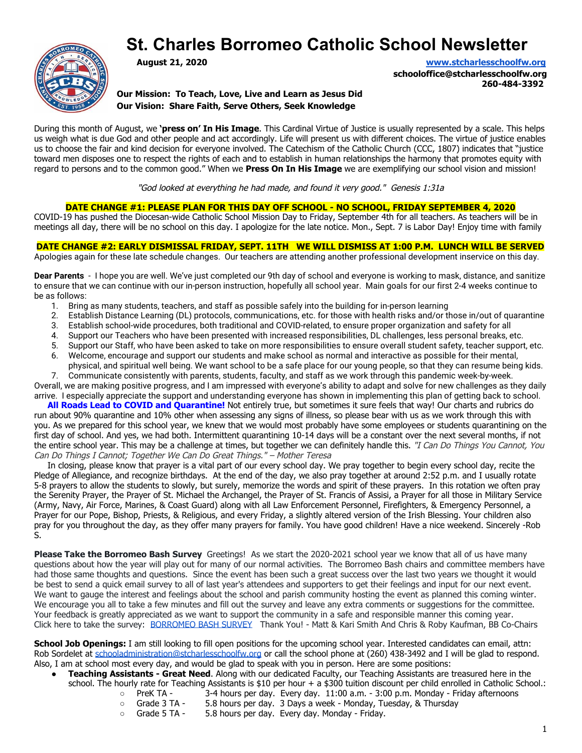# **St. Charles Borromeo Catholic School Newsletter**



**August 21, 2020 [www.stcharlesschoolfw.org](http://www.stcharlesschoolfw.org/)**

**schooloffice@stcharlesschoolfw.org 260-484-3392**

**Our Mission: To Teach, Love, Live and Learn as Jesus Did Our Vision: Share Faith, Serve Others, Seek Knowledge**

During this month of August, we **'press on' In His Image**. This Cardinal Virtue of Justice is usually represented by a scale. This helps us weigh what is due God and other people and act accordingly. Life will present us with different choices. The virtue of justice enables us to choose the fair and kind decision for everyone involved. The Catechism of the Catholic Church (CCC, 1807) indicates that "justice toward men disposes one to respect the rights of each and to establish in human relationships the harmony that promotes equity with regard to persons and to the common good." When we **Press On In His Image** we are exemplifying our school vision and mission!

"God looked at everything he had made, and found it very good." Genesis 1:31a

#### **DATE CHANGE #1: PLEASE PLAN FOR THIS DAY OFF SCHOOL - NO SCHOOL, FRIDAY SEPTEMBER 4, 2020**

COVID-19 has pushed the Diocesan-wide Catholic School Mission Day to Friday, September 4th for all teachers. As teachers will be in meetings all day, there will be no school on this day. I apologize for the late notice. Mon., Sept. 7 is Labor Day! Enjoy time with family

**DATE CHANGE #2: EARLY DISMISSAL FRIDAY, SEPT. 11TH WE WILL DISMISS AT 1:00 P.M. LUNCH WILL BE SERVED** Apologies again for these late schedule changes. Our teachers are attending another professional development inservice on this day.

**Dear Parents** - I hope you are well. We've just completed our 9th day of school and everyone is working to mask, distance, and sanitize to ensure that we can continue with our in-person instruction, hopefully all school year. Main goals for our first 2-4 weeks continue to be as follows:

- 1. Bring as many students, teachers, and staff as possible safely into the building for in-person learning
- 2. Establish Distance Learning (DL) protocols, communications, etc. for those with health risks and/or those in/out of quarantine
- 3. Establish school-wide procedures, both traditional and COVID-related, to ensure proper organization and safety for all
- 4. Support our Teachers who have been presented with increased responsibilities, DL challenges, less personal breaks, etc.
- 5. Support our Staff, who have been asked to take on more responsibilities to ensure overall student safety, teacher support, etc.
- 6. Welcome, encourage and support our students and make school as normal and interactive as possible for their mental, physical, and spiritual well being. We want school to be a safe place for our young people, so that they can resume being kids.

7. Communicate consistently with parents, students, faculty, and staff as we work through this pandemic week-by-week. Overall, we are making positive progress, and I am impressed with everyone's ability to adapt and solve for new challenges as they daily arrive. I especially appreciate the support and understanding everyone has shown in implementing this plan of getting back to school.

 **All Roads Lead to COVID and Quarantine!** Not entirely true, but sometimes it sure feels that way! Our charts and rubrics do run about 90% quarantine and 10% other when assessing any signs of illness, so please bear with us as we work through this with you. As we prepared for this school year, we knew that we would most probably have some employees or students quarantining on the first day of school. And yes, we had both. Intermittent quarantining 10-14 days will be a constant over the next several months, if not the entire school year. This may be a challenge at times, but together we can definitely handle this. "I Can Do Things You Cannot, You Can Do Things I Cannot; Together We Can Do Great Things." – Mother Teresa

 In closing, please know that prayer is a vital part of our every school day. We pray together to begin every school day, recite the Pledge of Allegiance, and recognize birthdays. At the end of the day, we also pray together at around 2:52 p.m. and I usually rotate 5-8 prayers to allow the students to slowly, but surely, memorize the words and spirit of these prayers. In this rotation we often pray the Serenity Prayer, the Prayer of St. Michael the Archangel, the Prayer of St. Francis of Assisi, a Prayer for all those in Military Service (Army, Navy, Air Force, Marines, & Coast Guard) along with all Law Enforcement Personnel, Firefighters, & Emergency Personnel, a Prayer for our Pope, Bishop, Priests, & Religious, and every Friday, a slightly altered version of the Irish Blessing. Your children also pray for you throughout the day, as they offer many prayers for family. You have good children! Have a nice weekend. Sincerely -Rob S.

**Please Take the Borromeo Bash Survey** Greetings! As we start the 2020-2021 school year we know that all of us have many questions about how the year will play out for many of our normal activities. The Borromeo Bash chairs and committee members have had those same thoughts and questions. Since the event has been such a great success over the last two years we thought it would be best to send a quick email survey to all of last year's attendees and supporters to get their feelings and input for our next event. We want to gauge the interest and feelings about the school and parish community hosting the event as planned this coming winter. We encourage you all to take a few minutes and fill out the survey and leave any extra comments or suggestions for the committee. Your feedback is greatly appreciated as we want to support the community in a safe and responsible manner this coming year. Click here to take the survey: [BORROMEO BASH SURVEY](https://forms.gle/c984f59W1BjdRBgW6) Thank You! - Matt & Kari Smith And Chris & Roby Kaufman, BB Co-Chairs

**School Job Openings:** I am still looking to fill open positions for the upcoming school year. Interested candidates can email, attn: Rob Sordelet at [schooladministration@stcharlesschoolfw.org](mailto:schooladministration@stcharlesschoolfw.org) or call the school phone at (260) 438-3492 and I will be glad to respond. Also, I am at school most every day, and would be glad to speak with you in person. Here are some positions:

- **Teaching Assistants Great Need**. Along with our dedicated Faculty, our Teaching Assistants are treasured here in the school. The hourly rate for Teaching Assistants is \$10 per hour + a \$300 tuition discount per child enrolled in Catholic School.:
	- PreK TA 3-4 hours per day. Every day. 11:00 a.m. 3:00 p.m. Monday Friday afternoons
	- Grade 3 TA 5.8 hours per day. 3 Days a week Monday, Tuesday, & Thursday
	- Grade 5 TA 5.8 hours per day. Every day. Monday Friday.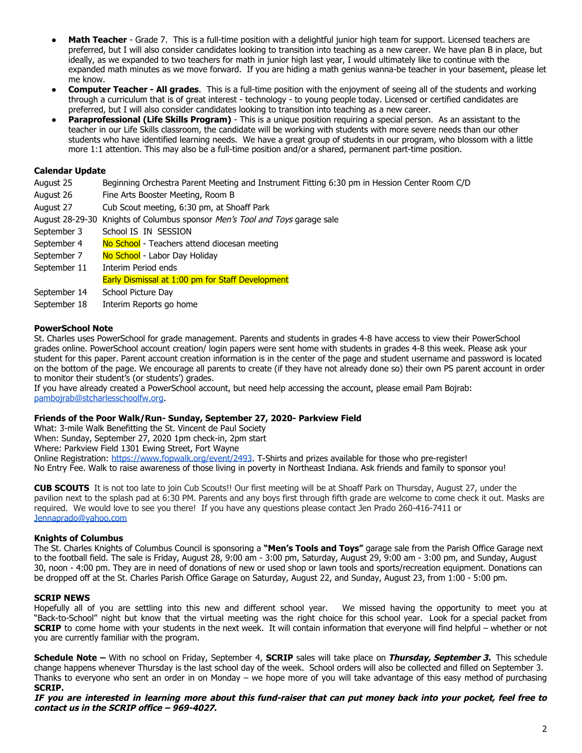- **Math Teacher** Grade 7. This is a full-time position with a delightful junior high team for support. Licensed teachers are preferred, but I will also consider candidates looking to transition into teaching as a new career. We have plan B in place, but ideally, as we expanded to two teachers for math in junior high last year, I would ultimately like to continue with the expanded math minutes as we move forward. If you are hiding a math genius wanna-be teacher in your basement, please let me know.
- **Computer Teacher All grades**. This is a full-time position with the enjoyment of seeing all of the students and working through a curriculum that is of great interest - technology - to young people today. Licensed or certified candidates are preferred, but I will also consider candidates looking to transition into teaching as a new career.
- **Paraprofessional (Life Skills Program)** This is a unique position requiring a special person. As an assistant to the teacher in our Life Skills classroom, the candidate will be working with students with more severe needs than our other students who have identified learning needs. We have a great group of students in our program, who blossom with a little more 1:1 attention. This may also be a full-time position and/or a shared, permanent part-time position.

## **Calendar Update**

August 25 Beginning Orchestra Parent Meeting and Instrument Fitting 6:30 pm in Hession Center Room C/D

- August 26 Fine Arts Booster Meeting, Room B
- August 27 Cub Scout meeting, 6:30 pm, at Shoaff Park
- August 28-29-30 Knights of Columbus sponsor Men's Tool and Toys garage sale
- September 3 School IS IN SESSION
- September 4 No School Teachers attend diocesan meeting
- September 7 No School Labor Day Holiday
- September 11 Interim Period ends
- Early Dismissal at 1:00 pm for Staff Development
- September 14 School Picture Day
- September 18 Interim Reports go home

#### **PowerSchool Note**

St. Charles uses PowerSchool for grade management. Parents and students in grades 4-8 have access to view their PowerSchool grades online. PowerSchool account creation/ login papers were sent home with students in grades 4-8 this week. Please ask your student for this paper. Parent account creation information is in the center of the page and student username and password is located on the bottom of the page. We encourage all parents to create (if they have not already done so) their own PS parent account in order to monitor their student's (or students') grades.

If you have already created a PowerSchool account, but need help accessing the account, please email Pam Bojrab: [pambojrab@stcharlesschoolfw.org](mailto:pambojrab@stcharlesschoolfw.org).

#### **Friends of the Poor Walk/Run- Sunday, September 27, 2020- Parkview Field**

What: 3-mile Walk Benefitting the St. Vincent de Paul Society When: Sunday, September 27, 2020 1pm check-in, 2pm start Where: Parkview Field 1301 Ewing Street, Fort Wayne Online Registration: [https://www.fopwalk.org/event/2493.](https://www.fopwalk.org/event/2493) T-Shirts and prizes available for those who pre-register! No Entry Fee. Walk to raise awareness of those living in poverty in Northeast Indiana. Ask friends and family to sponsor you!

**CUB SCOUTS** It is not too late to join Cub Scouts!! Our first meeting will be at Shoaff Park on Thursday, August 27, under the pavilion next to the splash pad at 6:30 PM. Parents and any boys first through fifth grade are welcome to come check it out. Masks are required. We would love to see you there! If you have any questions please contact Jen Prado 260-416-7411 or [Jennaprado@yahoo.com](mailto:Jennaprado@yahoo.com)

#### **Knights of Columbus**

The St. Charles Knights of Columbus Council is sponsoring a **"Men's Tools and Toys"** garage sale from the Parish Office Garage next to the football field. The sale is Friday, August 28, 9:00 am - 3:00 pm, Saturday, August 29, 9:00 am - 3:00 pm, and Sunday, August 30, noon - 4:00 pm. They are in need of donations of new or used shop or lawn tools and sports/recreation equipment. Donations can be dropped off at the St. Charles Parish Office Garage on Saturday, August 22, and Sunday, August 23, from 1:00 - 5:00 pm.

#### **SCRIP NEWS**

Hopefully all of you are settling into this new and different school year. We missed having the opportunity to meet you at "Back-to-School" night but know that the virtual meeting was the right choice for this school year. Look for a special packet from **SCRIP** to come home with your students in the next week. It will contain information that everyone will find helpful – whether or not you are currently familiar with the program.

**Schedule Note –** With no school on Friday, September 4, **SCRIP** sales will take place on **Thursday, September 3.** This schedule change happens whenever Thursday is the last school day of the week. School orders will also be collected and filled on September 3. Thanks to everyone who sent an order in on Monday – we hope more of you will take advantage of this easy method of purchasing **SCRIP.**

#### IF you are interested in learning more about this fund-raiser that can put money back into your pocket, feel free to **contact us in the SCRIP office – 969-4027.**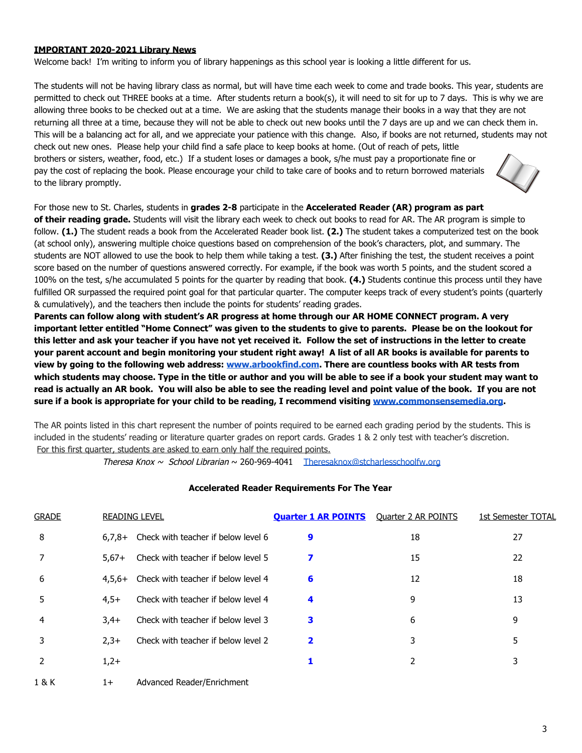# **IMPORTANT 2020-2021 Library News**

Welcome back! I'm writing to inform you of library happenings as this school year is looking a little different for us.

The students will not be having library class as normal, but will have time each week to come and trade books. This year, students are permitted to check out THREE books at a time. After students return a book(s), it will need to sit for up to 7 days. This is why we are allowing three books to be checked out at a time. We are asking that the students manage their books in a way that they are not returning all three at a time, because they will not be able to check out new books until the 7 days are up and we can check them in. This will be a balancing act for all, and we appreciate your patience with this change. Also, if books are not returned, students may not check out new ones. Please help your child find a safe place to keep books at home. (Out of reach of pets, little brothers or sisters, weather, food, etc.) If a student loses or damages a book, s/he must pay a proportionate fine or pay the cost of replacing the book. Please encourage your child to take care of books and to return borrowed materials to the library promptly.



# For those new to St. Charles, students in **grades 2-8** participate in the **Accelerated Reader (AR) program as part**

**of their reading grade.** Students will visit the library each week to check out books to read for AR. The AR program is simple to follow. **(1.)** The student reads a book from the Accelerated Reader book list. **(2.)** The student takes a computerized test on the book (at school only), answering multiple choice questions based on comprehension of the book's characters, plot, and summary. The students are NOT allowed to use the book to help them while taking a test. **(3.)** After finishing the test, the student receives a point score based on the number of questions answered correctly. For example, if the book was worth 5 points, and the student scored a 100% on the test, s/he accumulated 5 points for the quarter by reading that book. **(4.)** Students continue this process until they have fulfilled OR surpassed the required point goal for that particular quarter. The computer keeps track of every student's points (quarterly & cumulatively), and the teachers then include the points for students' reading grades.

**Parents can follow along with student's AR progress at home through our AR HOME CONNECT program. A very important letter entitled "Home Connect" was given to the students to give to parents. Please be on the lookout for this letter and ask your teacher if you have not yet received it. Follow the set of instructions in the letter to create your parent account and begin monitoring your student right away! A list of all AR books is available for parents to view by going to the following web address: [www.arbookfind.com](http://www.arbookfind.com/). There are countless books with AR tests from which students may choose. Type in the title or author and you will be able to see if a book your student may want to read is actually an AR book. You will also be able to see the reading level and point value of the book. If you are not sure if a book is appropriate for your child to be reading, I recommend visiting [www.commonsensemedia.org.](http://www.commonsensemedia.org/)**

The AR points listed in this chart represent the number of points required to be earned each grading period by the students. This is included in the students' reading or literature quarter grades on report cards. Grades 1 & 2 only test with teacher's discretion. For this first quarter, students are asked to earn only half the required points.

Theresa Knox  $\sim$  School Librarian  $\sim$  260-969-4041 Theresaknox@stcharlesschoolfw.org

# **Accelerated Reader Requirements For The Year**

| <b>GRADE</b>  |         | <b>READING LEVEL</b>                         | <b>Quarter 1 AR POINTS</b> Quarter 2 AR POINTS |    | 1st Semester TOTAL |
|---------------|---------|----------------------------------------------|------------------------------------------------|----|--------------------|
| 8             |         | $6,7,8+$ Check with teacher if below level 6 | 9                                              | 18 | 27                 |
|               | $5.67+$ | Check with teacher if below level 5          |                                                | 15 | 22                 |
| 6             |         | 4,5,6+ Check with teacher if below level 4   | 6                                              | 12 | 18                 |
| 5             | $4.5+$  | Check with teacher if below level 4          | 4                                              | 9  | 13                 |
| 4             | $3.4+$  | Check with teacher if below level 3          | 3                                              | 6  | 9                  |
|               | $2.3+$  | Check with teacher if below level 2          | 2                                              | 3  | 5                  |
|               | $1,2+$  |                                              |                                                |    | 3                  |
| $\sim$ $\sim$ |         | <b>Advised Product Football</b>              |                                                |    |                    |

1 & K 1+ Advanced Reader/Enrichment